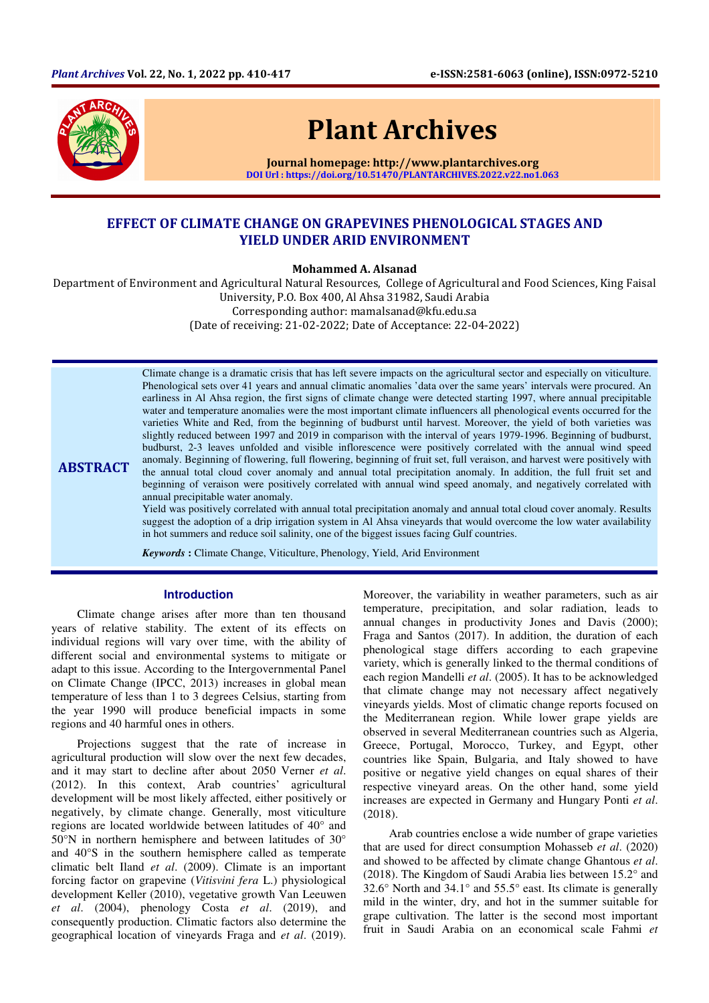

ABSTRACT

# Plant Archives

Journal homepage: http://www.plantarchives.org DOI Url : https://doi.org/10.51470/PLANTARCHIVES.2022.v22.no1.063

# EFFECT OF CLIMATE CHANGE ON GRAPEVINES PHENOLOGICAL STAGES AND YIELD UNDER ARID ENVIRONMENT

Mohammed A. Alsanad

Department of Environment and Agricultural Natural Resources, College of Agricultural and Food Sciences, King Faisal University, P.O. Box 400, Al Ahsa 31982, Saudi Arabia Corresponding author: mamalsanad@kfu.edu.sa (Date of receiving: 21-02-2022; Date of Acceptance: 22-04-2022)

> Climate change is a dramatic crisis that has left severe impacts on the agricultural sector and especially on viticulture. Phenological sets over 41 years and annual climatic anomalies 'data over the same years' intervals were procured. An earliness in Al Ahsa region, the first signs of climate change were detected starting 1997, where annual precipitable water and temperature anomalies were the most important climate influencers all phenological events occurred for the varieties White and Red, from the beginning of budburst until harvest. Moreover, the yield of both varieties was slightly reduced between 1997 and 2019 in comparison with the interval of years 1979-1996. Beginning of budburst, budburst, 2-3 leaves unfolded and visible inflorescence were positively correlated with the annual wind speed anomaly. Beginning of flowering, full flowering, beginning of fruit set, full veraison, and harvest were positively with the annual total cloud cover anomaly and annual total precipitation anomaly. In addition, the full fruit set and beginning of veraison were positively correlated with annual wind speed anomaly, and negatively correlated with annual precipitable water anomaly.

Yield was positively correlated with annual total precipitation anomaly and annual total cloud cover anomaly. Results suggest the adoption of a drip irrigation system in Al Ahsa vineyards that would overcome the low water availability in hot summers and reduce soil salinity, one of the biggest issues facing Gulf countries.

*Keywords* **:** Climate Change, Viticulture, Phenology, Yield, Arid Environment

# **Introduction**

Climate change arises after more than ten thousand years of relative stability. The extent of its effects on individual regions will vary over time, with the ability of different social and environmental systems to mitigate or adapt to this issue. According to the Intergovernmental Panel on Climate Change (IPCC, 2013) increases in global mean temperature of less than 1 to 3 degrees Celsius, starting from the year 1990 will produce beneficial impacts in some regions and 40 harmful ones in others.

Projections suggest that the rate of increase in agricultural production will slow over the next few decades, and it may start to decline after about 2050 Verner *et al*. (2012). In this context, Arab countries' agricultural development will be most likely affected, either positively or negatively, by climate change. Generally, most viticulture regions are located worldwide between latitudes of 40° and 50°N in northern hemisphere and between latitudes of 30° and 40°S in the southern hemisphere called as temperate climatic belt Iland *et al*. (2009). Climate is an important forcing factor on grapevine (*Vitisvini fera* L.) physiological development Keller (2010), vegetative growth Van Leeuwen *et al*. (2004), phenology Costa *et al*. (2019), and consequently production. Climatic factors also determine the geographical location of vineyards Fraga and *et al*. (2019).

Moreover, the variability in weather parameters, such as air temperature, precipitation, and solar radiation, leads to annual changes in productivity Jones and Davis (2000); Fraga and Santos (2017). In addition, the duration of each phenological stage differs according to each grapevine variety, which is generally linked to the thermal conditions of each region Mandelli *et al*. (2005). It has to be acknowledged that climate change may not necessary affect negatively vineyards yields. Most of climatic change reports focused on the Mediterranean region. While lower grape yields are observed in several Mediterranean countries such as Algeria, Greece, Portugal, Morocco, Turkey, and Egypt, other countries like Spain, Bulgaria, and Italy showed to have positive or negative yield changes on equal shares of their respective vineyard areas. On the other hand, some yield increases are expected in Germany and Hungary Ponti *et al*. (2018).

Arab countries enclose a wide number of grape varieties that are used for direct consumption Mohasseb *et al*. (2020) and showed to be affected by climate change Ghantous *et al*. (2018). The Kingdom of Saudi Arabia lies between 15.2° and 32.6° North and 34.1° and 55.5° east. Its climate is generally mild in the winter, dry, and hot in the summer suitable for grape cultivation. The latter is the second most important fruit in Saudi Arabia on an economical scale Fahmi *et*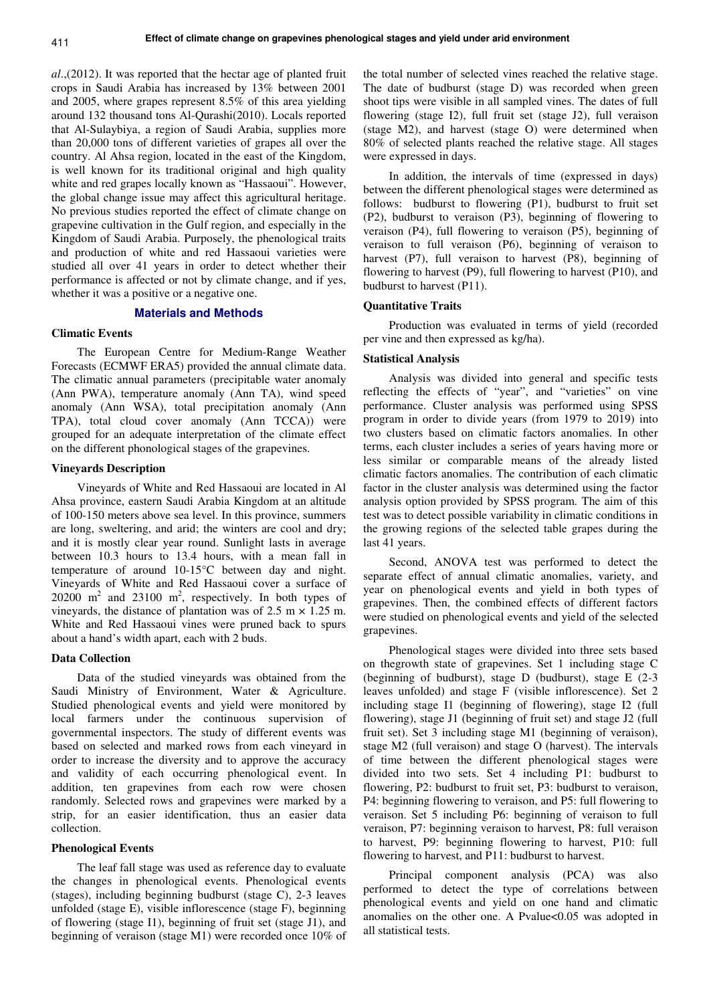*al*.,(2012). It was reported that the hectar age of planted fruit crops in Saudi Arabia has increased by 13% between 2001 and 2005, where grapes represent 8.5% of this area yielding around 132 thousand tons Al-Qurashi(2010). Locals reported that Al-Sulaybiya, a region of Saudi Arabia, supplies more than 20,000 tons of different varieties of grapes all over the country. Al Ahsa region, located in the east of the Kingdom, is well known for its traditional original and high quality white and red grapes locally known as "Hassaoui". However, the global change issue may affect this agricultural heritage. No previous studies reported the effect of climate change on grapevine cultivation in the Gulf region, and especially in the Kingdom of Saudi Arabia. Purposely, the phenological traits and production of white and red Hassaoui varieties were studied all over 41 years in order to detect whether their performance is affected or not by climate change, and if yes, whether it was a positive or a negative one.

# **Materials and Methods**

# **Climatic Events**

The European Centre for Medium-Range Weather Forecasts (ECMWF ERA5) provided the annual climate data. The climatic annual parameters (precipitable water anomaly (Ann PWA), temperature anomaly (Ann TA), wind speed anomaly (Ann WSA), total precipitation anomaly (Ann TPA), total cloud cover anomaly (Ann TCCA)) were grouped for an adequate interpretation of the climate effect on the different phonological stages of the grapevines.

# **Vineyards Description**

Vineyards of White and Red Hassaoui are located in Al Ahsa province, eastern Saudi Arabia Kingdom at an altitude of 100-150 meters above sea level. In this province, summers are long, sweltering, and arid; the winters are cool and dry; and it is mostly clear year round. Sunlight lasts in average between 10.3 hours to 13.4 hours, with a mean fall in temperature of around 10-15°C between day and night. Vineyards of White and Red Hassaoui cover a surface of  $20200 \text{ m}^2$  and  $23100 \text{ m}^2$ , respectively. In both types of vineyards, the distance of plantation was of  $2.5 \text{ m} \times 1.25 \text{ m}$ . White and Red Hassaoui vines were pruned back to spurs about a hand's width apart, each with 2 buds.

# **Data Collection**

Data of the studied vineyards was obtained from the Saudi Ministry of Environment, Water & Agriculture. Studied phenological events and yield were monitored by local farmers under the continuous supervision of governmental inspectors. The study of different events was based on selected and marked rows from each vineyard in order to increase the diversity and to approve the accuracy and validity of each occurring phenological event. In addition, ten grapevines from each row were chosen randomly. Selected rows and grapevines were marked by a strip, for an easier identification, thus an easier data collection.

#### **Phenological Events**

The leaf fall stage was used as reference day to evaluate the changes in phenological events. Phenological events (stages), including beginning budburst (stage C), 2-3 leaves unfolded (stage E), visible inflorescence (stage F), beginning of flowering (stage I1), beginning of fruit set (stage J1), and beginning of veraison (stage M1) were recorded once 10% of the total number of selected vines reached the relative stage. The date of budburst (stage D) was recorded when green shoot tips were visible in all sampled vines. The dates of full flowering (stage I2), full fruit set (stage J2), full veraison (stage M2), and harvest (stage O) were determined when 80% of selected plants reached the relative stage. All stages were expressed in days.

In addition, the intervals of time (expressed in days) between the different phenological stages were determined as follows: budburst to flowering (P1), budburst to fruit set (P2), budburst to veraison (P3), beginning of flowering to veraison (P4), full flowering to veraison (P5), beginning of veraison to full veraison (P6), beginning of veraison to harvest (P7), full veraison to harvest (P8), beginning of flowering to harvest (P9), full flowering to harvest (P10), and budburst to harvest (P11).

# **Quantitative Traits**

Production was evaluated in terms of yield (recorded per vine and then expressed as kg/ha).

# **Statistical Analysis**

Analysis was divided into general and specific tests reflecting the effects of "year", and "varieties" on vine performance. Cluster analysis was performed using SPSS program in order to divide years (from 1979 to 2019) into two clusters based on climatic factors anomalies. In other terms, each cluster includes a series of years having more or less similar or comparable means of the already listed climatic factors anomalies. The contribution of each climatic factor in the cluster analysis was determined using the factor analysis option provided by SPSS program. The aim of this test was to detect possible variability in climatic conditions in the growing regions of the selected table grapes during the last 41 years.

Second, ANOVA test was performed to detect the separate effect of annual climatic anomalies, variety, and year on phenological events and yield in both types of grapevines. Then, the combined effects of different factors were studied on phenological events and yield of the selected grapevines.

Phenological stages were divided into three sets based on thegrowth state of grapevines. Set 1 including stage C (beginning of budburst), stage D (budburst), stage E (2-3 leaves unfolded) and stage F (visible inflorescence). Set 2 including stage I1 (beginning of flowering), stage I2 (full flowering), stage J1 (beginning of fruit set) and stage J2 (full fruit set). Set 3 including stage M1 (beginning of veraison), stage M2 (full veraison) and stage O (harvest). The intervals of time between the different phenological stages were divided into two sets. Set 4 including P1: budburst to flowering, P2: budburst to fruit set, P3: budburst to veraison, P4: beginning flowering to veraison, and P5: full flowering to veraison. Set 5 including P6: beginning of veraison to full veraison, P7: beginning veraison to harvest, P8: full veraison to harvest, P9: beginning flowering to harvest, P10: full flowering to harvest, and P11: budburst to harvest.

Principal component analysis (PCA) was also performed to detect the type of correlations between phenological events and yield on one hand and climatic anomalies on the other one. A Pvalue<0.05 was adopted in all statistical tests.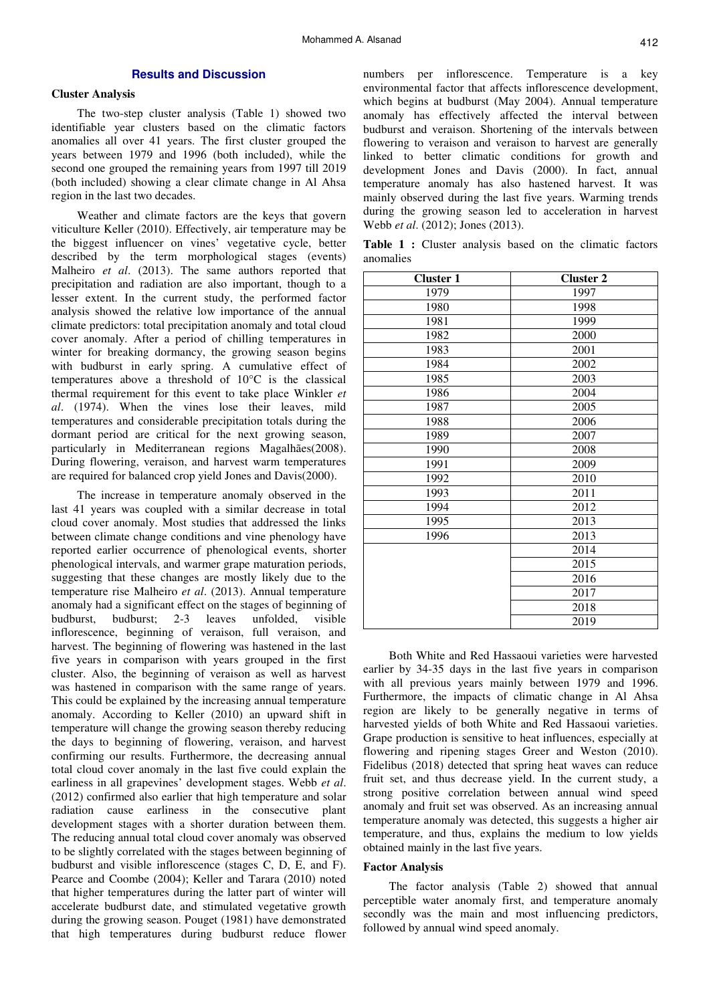# **Results and Discussion**

# **Cluster Analysis**

The two-step cluster analysis (Table 1) showed two identifiable year clusters based on the climatic factors anomalies all over 41 years. The first cluster grouped the years between 1979 and 1996 (both included), while the second one grouped the remaining years from 1997 till 2019 (both included) showing a clear climate change in Al Ahsa region in the last two decades.

Weather and climate factors are the keys that govern viticulture Keller (2010). Effectively, air temperature may be the biggest influencer on vines' vegetative cycle, better described by the term morphological stages (events) Malheiro *et al*. (2013). The same authors reported that precipitation and radiation are also important, though to a lesser extent. In the current study, the performed factor analysis showed the relative low importance of the annual climate predictors: total precipitation anomaly and total cloud cover anomaly. After a period of chilling temperatures in winter for breaking dormancy, the growing season begins with budburst in early spring. A cumulative effect of temperatures above a threshold of 10°C is the classical thermal requirement for this event to take place Winkler *et al*. (1974). When the vines lose their leaves, mild temperatures and considerable precipitation totals during the dormant period are critical for the next growing season, particularly in Mediterranean regions Magalhães(2008). During flowering, veraison, and harvest warm temperatures are required for balanced crop yield Jones and Davis(2000).

The increase in temperature anomaly observed in the last 41 years was coupled with a similar decrease in total cloud cover anomaly. Most studies that addressed the links between climate change conditions and vine phenology have reported earlier occurrence of phenological events, shorter phenological intervals, and warmer grape maturation periods, suggesting that these changes are mostly likely due to the temperature rise Malheiro *et al*. (2013). Annual temperature anomaly had a significant effect on the stages of beginning of budburst, budburst; 2-3 leaves unfolded, visible inflorescence, beginning of veraison, full veraison, and harvest. The beginning of flowering was hastened in the last five years in comparison with years grouped in the first cluster. Also, the beginning of veraison as well as harvest was hastened in comparison with the same range of years. This could be explained by the increasing annual temperature anomaly. According to Keller (2010) an upward shift in temperature will change the growing season thereby reducing the days to beginning of flowering, veraison, and harvest confirming our results. Furthermore, the decreasing annual total cloud cover anomaly in the last five could explain the earliness in all grapevines' development stages. Webb *et al*. (2012) confirmed also earlier that high temperature and solar radiation cause earliness in the consecutive plant development stages with a shorter duration between them. The reducing annual total cloud cover anomaly was observed to be slightly correlated with the stages between beginning of budburst and visible inflorescence (stages C, D, E, and F). Pearce and Coombe (2004); Keller and Tarara (2010) noted that higher temperatures during the latter part of winter will accelerate budburst date, and stimulated vegetative growth during the growing season. Pouget (1981) have demonstrated that high temperatures during budburst reduce flower

numbers per inflorescence. Temperature is a key environmental factor that affects inflorescence development, which begins at budburst (May 2004). Annual temperature anomaly has effectively affected the interval between budburst and veraison. Shortening of the intervals between flowering to veraison and veraison to harvest are generally linked to better climatic conditions for growth and development Jones and Davis (2000). In fact, annual temperature anomaly has also hastened harvest. It was mainly observed during the last five years. Warming trends during the growing season led to acceleration in harvest Webb *et al*. (2012); Jones (2013).

**Table 1 :** Cluster analysis based on the climatic factors anomalies

| <b>Cluster 1</b> | <b>Cluster 2</b> |
|------------------|------------------|
| 1979             | 1997             |
| 1980             | 1998             |
| 1981             | 1999             |
| 1982             | 2000             |
| 1983             | 2001             |
| 1984             | 2002             |
| 1985             | 2003             |
| 1986             | 2004             |
| 1987             | 2005             |
| 1988             | 2006             |
| 1989             | 2007             |
| 1990             | 2008             |
| 1991             | 2009             |
| 1992             | 2010             |
| 1993             | 2011             |
| 1994             | 2012             |
| 1995             | 2013             |
| 1996             | 2013             |
|                  | 2014             |
|                  | 2015             |
|                  | 2016             |
|                  | 2017             |
|                  | 2018             |
|                  | 2019             |

Both White and Red Hassaoui varieties were harvested earlier by 34-35 days in the last five years in comparison with all previous years mainly between 1979 and 1996. Furthermore, the impacts of climatic change in Al Ahsa region are likely to be generally negative in terms of harvested yields of both White and Red Hassaoui varieties. Grape production is sensitive to heat influences, especially at flowering and ripening stages Greer and Weston (2010). Fidelibus (2018) detected that spring heat waves can reduce fruit set, and thus decrease yield. In the current study, a strong positive correlation between annual wind speed anomaly and fruit set was observed. As an increasing annual temperature anomaly was detected, this suggests a higher air temperature, and thus, explains the medium to low yields obtained mainly in the last five years.

# **Factor Analysis**

The factor analysis (Table 2) showed that annual perceptible water anomaly first, and temperature anomaly secondly was the main and most influencing predictors, followed by annual wind speed anomaly.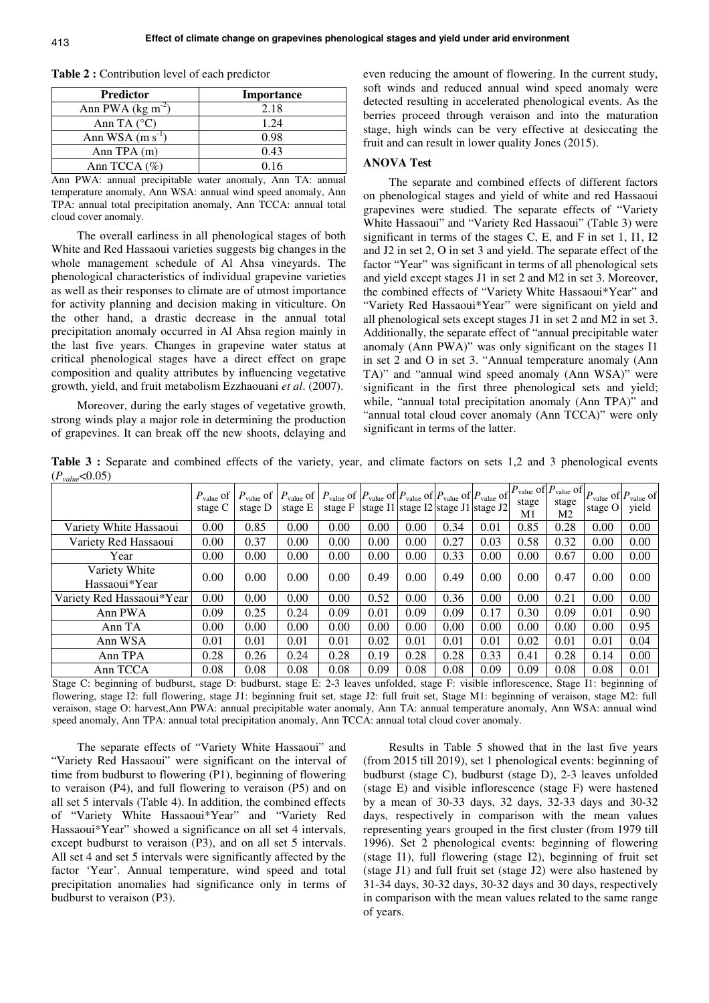**Table 2 :** Contribution level of each predictor

| <b>Predictor</b>               | Importance |
|--------------------------------|------------|
| Ann PWA ( $\text{kg m}^{-2}$ ) | 2.18       |
| Ann TA $(^{\circ}C)$           | 1.24       |
| Ann WSA $(m s-1$               | 0.98       |
| Ann TPA $(m)$                  | 0.43       |
| Ann TCCA $(\% )$               | 0.16       |

Ann PWA: annual precipitable water anomaly, Ann TA: annual temperature anomaly, Ann WSA: annual wind speed anomaly, Ann TPA: annual total precipitation anomaly, Ann TCCA: annual total cloud cover anomaly.

The overall earliness in all phenological stages of both White and Red Hassaoui varieties suggests big changes in the whole management schedule of Al Ahsa vineyards. The phenological characteristics of individual grapevine varieties as well as their responses to climate are of utmost importance for activity planning and decision making in viticulture. On the other hand, a drastic decrease in the annual total precipitation anomaly occurred in Al Ahsa region mainly in the last five years. Changes in grapevine water status at critical phenological stages have a direct effect on grape composition and quality attributes by influencing vegetative growth, yield, and fruit metabolism Ezzhaouani *et al*. (2007).

Moreover, during the early stages of vegetative growth, strong winds play a major role in determining the production of grapevines. It can break off the new shoots, delaying and even reducing the amount of flowering. In the current study, soft winds and reduced annual wind speed anomaly were detected resulting in accelerated phenological events. As the berries proceed through veraison and into the maturation stage, high winds can be very effective at desiccating the fruit and can result in lower quality Jones (2015).

### **ANOVA Test**

The separate and combined effects of different factors on phenological stages and yield of white and red Hassaoui grapevines were studied. The separate effects of "Variety White Hassaoui" and "Variety Red Hassaoui" (Table 3) were significant in terms of the stages C, E, and F in set 1, I1, I2 and J2 in set 2, O in set 3 and yield. The separate effect of the factor "Year" was significant in terms of all phenological sets and yield except stages J1 in set 2 and M2 in set 3. Moreover, the combined effects of "Variety White Hassaoui\*Year" and "Variety Red Hassaoui\*Year" were significant on yield and all phenological sets except stages J1 in set 2 and M2 in set 3. Additionally, the separate effect of "annual precipitable water anomaly (Ann PWA)" was only significant on the stages I1 in set 2 and O in set 3. "Annual temperature anomaly (Ann TA)" and "annual wind speed anomaly (Ann WSA)" were significant in the first three phenological sets and yield; while, "annual total precipitation anomaly (Ann TPA)" and "annual total cloud cover anomaly (Ann TCCA)" were only significant in terms of the latter.

**Table 3 :** Separate and combined effects of the variety, year, and climate factors on sets 1,2 and 3 phenological events  $(P_{value} < 0.05)$ 

|                                | $P_{value}$ of<br>stage C | $P_{value}$ of<br>stage D | $P_{value}$ of<br>stage E | $P_{value}$ of $P_{value}$ of $P_{value}$ of $P_{value}$ of $P_{value}$ of $P_{value}$<br>stage F | stage I1 stage I2 stage J1 stage J2 |      |      |      | stage<br>M1 | value of $P_{value}$ of $P_{value}$ of $P_{value}$ of<br>stage<br>Μ2 | stage O | yield |
|--------------------------------|---------------------------|---------------------------|---------------------------|---------------------------------------------------------------------------------------------------|-------------------------------------|------|------|------|-------------|----------------------------------------------------------------------|---------|-------|
| Variety White Hassaoui         | 0.00                      | 0.85                      | 0.00                      | 0.00                                                                                              | 0.00                                | 0.00 | 0.34 | 0.01 | 0.85        | 0.28                                                                 | 0.00    | 0.00  |
| Variety Red Hassaoui           | 0.00                      | 0.37                      | 0.00                      | 0.00                                                                                              | 0.00                                | 0.00 | 0.27 | 0.03 | 0.58        | 0.32                                                                 | 0.00    | 0.00  |
| Year                           | 0.00                      | 0.00                      | 0.00                      | 0.00                                                                                              | 0.00                                | 0.00 | 0.33 | 0.00 | 0.00        | 0.67                                                                 | 0.00    | 0.00  |
| Variety White<br>Hassaoui*Year | 0.00                      | 0.00                      | 0.00                      | 0.00                                                                                              | 0.49                                | 0.00 | 0.49 | 0.00 | 0.00        | 0.47                                                                 | 0.00    | 0.00  |
| Variety Red Hassaoui*Year      | 0.00                      | 0.00                      | 0.00                      | 0.00                                                                                              | 0.52                                | 0.00 | 0.36 | 0.00 | 0.00        | 0.21                                                                 | 0.00    | 0.00  |
| Ann PWA                        | 0.09                      | 0.25                      | 0.24                      | 0.09                                                                                              | 0.01                                | 0.09 | 0.09 | 0.17 | 0.30        | 0.09                                                                 | 0.01    | 0.90  |
| Ann TA                         | 0.00                      | 0.00                      | 0.00                      | 0.00                                                                                              | 0.00                                | 0.00 | 0.00 | 0.00 | 0.00        | 0.00                                                                 | 0.00    | 0.95  |
| Ann WSA                        | 0.01                      | 0.01                      | 0.01                      | 0.01                                                                                              | 0.02                                | 0.01 | 0.01 | 0.01 | 0.02        | 0.01                                                                 | 0.01    | 0.04  |
| Ann TPA                        | 0.28                      | 0.26                      | 0.24                      | 0.28                                                                                              | 0.19                                | 0.28 | 0.28 | 0.33 | 0.41        | 0.28                                                                 | 0.14    | 0.00  |
| Ann TCCA                       | 0.08                      | 0.08                      | 0.08                      | 0.08                                                                                              | 0.09                                | 0.08 | 0.08 | 0.09 | 0.09        | 0.08                                                                 | 0.08    | 0.01  |

Stage C: beginning of budburst, stage D: budburst, stage E: 2-3 leaves unfolded, stage F: visible inflorescence, Stage I1: beginning of flowering, stage I2: full flowering, stage J1: beginning fruit set, stage J2: full fruit set, Stage M1: beginning of veraison, stage M2: full veraison, stage O: harvest,Ann PWA: annual precipitable water anomaly, Ann TA: annual temperature anomaly, Ann WSA: annual wind speed anomaly, Ann TPA: annual total precipitation anomaly, Ann TCCA: annual total cloud cover anomaly.

The separate effects of "Variety White Hassaoui" and "Variety Red Hassaoui" were significant on the interval of time from budburst to flowering (P1), beginning of flowering to veraison (P4), and full flowering to veraison (P5) and on all set 5 intervals (Table 4). In addition, the combined effects of "Variety White Hassaoui\*Year" and "Variety Red Hassaoui\*Year" showed a significance on all set 4 intervals, except budburst to veraison (P3), and on all set 5 intervals. All set 4 and set 5 intervals were significantly affected by the factor 'Year'. Annual temperature, wind speed and total precipitation anomalies had significance only in terms of budburst to veraison (P3).

Results in Table 5 showed that in the last five years (from 2015 till 2019), set 1 phenological events: beginning of budburst (stage C), budburst (stage D), 2-3 leaves unfolded (stage E) and visible inflorescence (stage F) were hastened by a mean of 30-33 days, 32 days, 32-33 days and 30-32 days, respectively in comparison with the mean values representing years grouped in the first cluster (from 1979 till 1996). Set 2 phenological events: beginning of flowering (stage I1), full flowering (stage I2), beginning of fruit set (stage J1) and full fruit set (stage J2) were also hastened by 31-34 days, 30-32 days, 30-32 days and 30 days, respectively in comparison with the mean values related to the same range of years.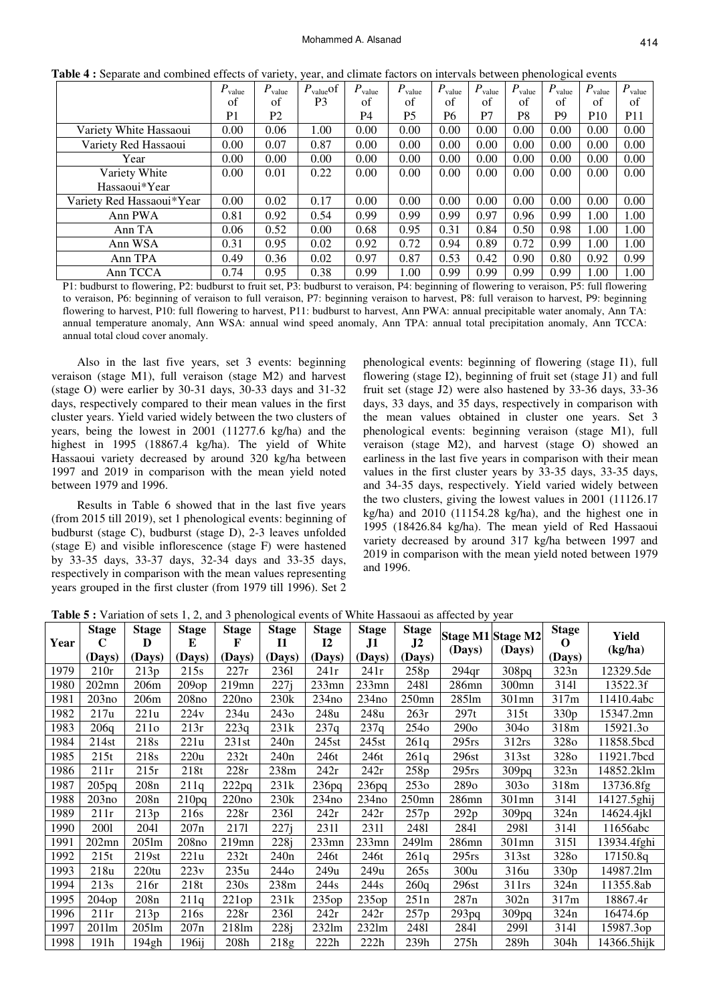|                           | $P_{value}$    | $P_{value}$    | $P_{value}$ of | $P_{value}$ | $P_{value}$    | $P_{value}$ | $P_{value}$ | $P_{value}$    | $P_{value}$    | $P_{value}$     | $P_{value}$     |
|---------------------------|----------------|----------------|----------------|-------------|----------------|-------------|-------------|----------------|----------------|-----------------|-----------------|
|                           | of             | of             | P3             | of          | of             | of          | of          | of             | of             | of              | of              |
|                           | P <sub>1</sub> | P <sub>2</sub> |                | P4          | P <sub>5</sub> | P6          | P7          | P <sub>8</sub> | P <sub>9</sub> | P <sub>10</sub> | P <sub>11</sub> |
| Variety White Hassaoui    | 0.00           | 0.06           | 1.00           | 0.00        | 0.00           | 0.00        | 0.00        | 0.00           | 0.00           | 0.00            | 0.00            |
| Variety Red Hassaoui      | 0.00           | 0.07           | 0.87           | 0.00        | 0.00           | 0.00        | 0.00        | 0.00           | 0.00           | 0.00            | 0.00            |
| Year                      | 0.00           | 0.00           | 0.00           | 0.00        | 0.00           | 0.00        | 0.00        | 0.00           | 0.00           | 0.00            | 0.00            |
| Variety White             | 0.00           | 0.01           | 0.22           | 0.00        | 0.00           | 0.00        | 0.00        | 0.00           | 0.00           | 0.00            | 0.00            |
| Hassaoui*Year             |                |                |                |             |                |             |             |                |                |                 |                 |
| Variety Red Hassaoui*Year | 0.00           | 0.02           | 0.17           | 0.00        | 0.00           | 0.00        | 0.00        | 0.00           | 0.00           | 0.00            | 0.00            |
| Ann PWA                   | 0.81           | 0.92           | 0.54           | 0.99        | 0.99           | 0.99        | 0.97        | 0.96           | 0.99           | 1.00            | 1.00            |
| Ann TA                    | 0.06           | 0.52           | 0.00           | 0.68        | 0.95           | 0.31        | 0.84        | 0.50           | 0.98           | 1.00            | 1.00            |
| Ann WSA                   | 0.31           | 0.95           | 0.02           | 0.92        | 0.72           | 0.94        | 0.89        | 0.72           | 0.99           | 1.00            | 1.00            |
| Ann TPA                   | 0.49           | 0.36           | 0.02           | 0.97        | 0.87           | 0.53        | 0.42        | 0.90           | 0.80           | 0.92            | 0.99            |
| Ann TCCA                  | 0.74           | 0.95           | 0.38           | 0.99        | 1.00           | 0.99        | 0.99        | 0.99           | 0.99           | 1.00            | 1.00            |

**Table 4 :** Separate and combined effects of variety, year, and climate factors on intervals between phenological events

P1: budburst to flowering, P2: budburst to fruit set, P3: budburst to veraison, P4: beginning of flowering to veraison, P5: full flowering to veraison, P6: beginning of veraison to full veraison, P7: beginning veraison to harvest, P8: full veraison to harvest, P9: beginning flowering to harvest, P10: full flowering to harvest, P11: budburst to harvest, Ann PWA: annual precipitable water anomaly, Ann TA: annual temperature anomaly, Ann WSA: annual wind speed anomaly, Ann TPA: annual total precipitation anomaly, Ann TCCA: annual total cloud cover anomaly.

Also in the last five years, set 3 events: beginning veraison (stage M1), full veraison (stage M2) and harvest (stage O) were earlier by 30-31 days, 30-33 days and 31-32 days, respectively compared to their mean values in the first cluster years. Yield varied widely between the two clusters of years, being the lowest in 2001 (11277.6 kg/ha) and the highest in 1995 (18867.4 kg/ha). The yield of White Hassaoui variety decreased by around 320 kg/ha between 1997 and 2019 in comparison with the mean yield noted between 1979 and 1996.

Results in Table 6 showed that in the last five years (from 2015 till 2019), set 1 phenological events: beginning of budburst (stage C), budburst (stage D), 2-3 leaves unfolded (stage E) and visible inflorescence (stage F) were hastened by 33-35 days, 33-37 days, 32-34 days and 33-35 days, respectively in comparison with the mean values representing years grouped in the first cluster (from 1979 till 1996). Set 2

phenological events: beginning of flowering (stage I1), full flowering (stage I2), beginning of fruit set (stage J1) and full fruit set (stage J2) were also hastened by 33-36 days, 33-36 days, 33 days, and 35 days, respectively in comparison with the mean values obtained in cluster one years. Set 3 phenological events: beginning veraison (stage M1), full veraison (stage M2), and harvest (stage O) showed an earliness in the last five years in comparison with their mean values in the first cluster years by 33-35 days, 33-35 days, and 34-35 days, respectively. Yield varied widely between the two clusters, giving the lowest values in 2001 (11126.17 kg/ha) and 2010 (11154.28 kg/ha), and the highest one in 1995 (18426.84 kg/ha). The mean yield of Red Hassaoui variety decreased by around 317 kg/ha between 1997 and 2019 in comparison with the mean yield noted between 1979 and 1996.

|      | <b>Stage</b> | <b>Stage</b>     | <b>Stage</b> | <b>Stage</b> | <b>Stage</b>           | <b>Stage</b>        | <b>Stage</b> | <b>Stage</b>        |                  | <b>Stage M1 Stage M2</b> | <b>Stage</b>     | Yield       |
|------|--------------|------------------|--------------|--------------|------------------------|---------------------|--------------|---------------------|------------------|--------------------------|------------------|-------------|
| Year | C<br>(Days)  | D<br>(Days)      | E<br>(Days)  | F<br>(Days)  | $\mathbf{I}$<br>(Days) | <b>I2</b><br>(Days) | J1<br>(Days) | $\bf{J2}$<br>(Days) | (Days)           | (Days)                   | O<br>(Days)      | (kg/ha)     |
| 1979 | 210r         | 213p             | 215s         | 227r         | 2361                   | 241r                | 241r         | 258p                | 294qr            | 308pq                    | 323n             | 12329.5de   |
| 1980 | $202$ mn     | 206m             | 209op        | 219mn        | 227i                   | $233$ mn            | $233$ mn     | 2481                | 286mn            | 300mn                    | 3141             | 13522.3f    |
| 1981 | 203no        | 206m             | 208no        | 220no        | 230k                   | 234no               | 234no        | $250$ mn            | 2851m            | 301mn                    | 317m             | 11410.4abc  |
| 1982 | 217u         | 221u             | 224v         | 234u         | 243 <sub>o</sub>       | 248u                | 248u         | 263r                | 297t             | 315t                     | 330p             | 15347.2mn   |
| 1983 | 206q         | 211 <sub>o</sub> | 213r         | 223q         | 231k                   | 237q                | 237q         | 254 <sub>o</sub>    | 290 <sub>o</sub> | 304 <sub>o</sub>         | 318m             | 15921.30    |
| 1984 | 214st        | 218s             | 221u         | 231st        | 240n                   | 245st               | 245st        | 261a                | $295$ rs         | 312rs                    | 328 <sub>o</sub> | 11858.5bcd  |
| 1985 | 215t         | 218s             | 220u         | 232t         | 240 <sub>n</sub>       | 246t                | 246t         | 261a                | 296st            | 313st                    | 328 <sub>o</sub> | 11921.7bcd  |
| 1986 | 211r         | 215r             | 218t         | 228r         | 238m                   | 242r                | 242r         | 258p                | $295$ rs         | 309 <sub>pq</sub>        | 323n             | 14852.2klm  |
| 1987 | 205pq        | 208n             | 211q         | 222pq        | 231k                   | 236pq               | 236pq        | 253 <sub>o</sub>    | 289 <sub>o</sub> | 303 <sub>o</sub>         | 318m             | 13736.8fg   |
| 1988 | 203no        | 208 <sub>n</sub> | 210pq        | 220no        | 230k                   | 234no               | 234no        | $250$ mn            | 286mn            | 301mn                    | 3141             | 14127.5ghij |
| 1989 | 211r         | 213p             | 216s         | 228r         | 2361                   | 242r                | 242r         | 257p                | 292p             | 309pq                    | 324n             | 14624.4jkl  |
| 1990 | 2001         | 2041             | 207n         | 2171         | 227i                   | 2311                | 2311         | 2481                | 2841             | 2981                     | 3141             | 11656abc    |
| 1991 | $202$ mn     | $205$ lm         | 208no        | 219mn        | 228i                   | $233$ mn            | $233$ mn     | 2491m               | 286mn            | 301mn                    | 3151             | 13934.4fghi |
| 1992 | 215t         | 219st            | 221u         | 232t         | 240 <sub>n</sub>       | 246t                | 246t         | 261q                | $295$ rs         | 313st                    | 328 <sub>o</sub> | 17150.8q    |
| 1993 | 218u         | 220tu            | 223v         | 235u         | 244 <sub>o</sub>       | 249u                | 249u         | 265s                | 300u             | 316u                     | 330p             | 14987.21m   |
| 1994 | 213s         | 216r             | 218t         | 230s         | 238m                   | 244s                | 244s         | 260q                | 296st            | 311rs                    | 324n             | 11355.8ab   |
| 1995 | 204op        | 208n             | 211q         | 221op        | 231k                   | 235op               | 235op        | 251n                | 287n             | 302n                     | 317m             | 18867.4r    |
| 1996 | 211r         | 213p             | 216s         | 228r         | 2361                   | 242r                | 242r         | 257p                | 293pq            | 309 <sub>pq</sub>        | 324n             | 16474.6p    |
| 1997 | 201lm        | $205$ lm         | 207n         | 218lm        | 228j                   | $232 \text{lm}$     | 232lm        | 2481                | 2841             | 2991                     | 3141             | 15987.3op   |
| 1998 | 191h         | 194gh            | 196ij        | 208h         | 218g                   | 222h                | 222h         | 239h                | 275h             | 289h                     | 304h             | 14366.5hijk |

**Table 5 :** Variation of sets 1, 2, and 3 phenological events of White Hassaoui as affected by year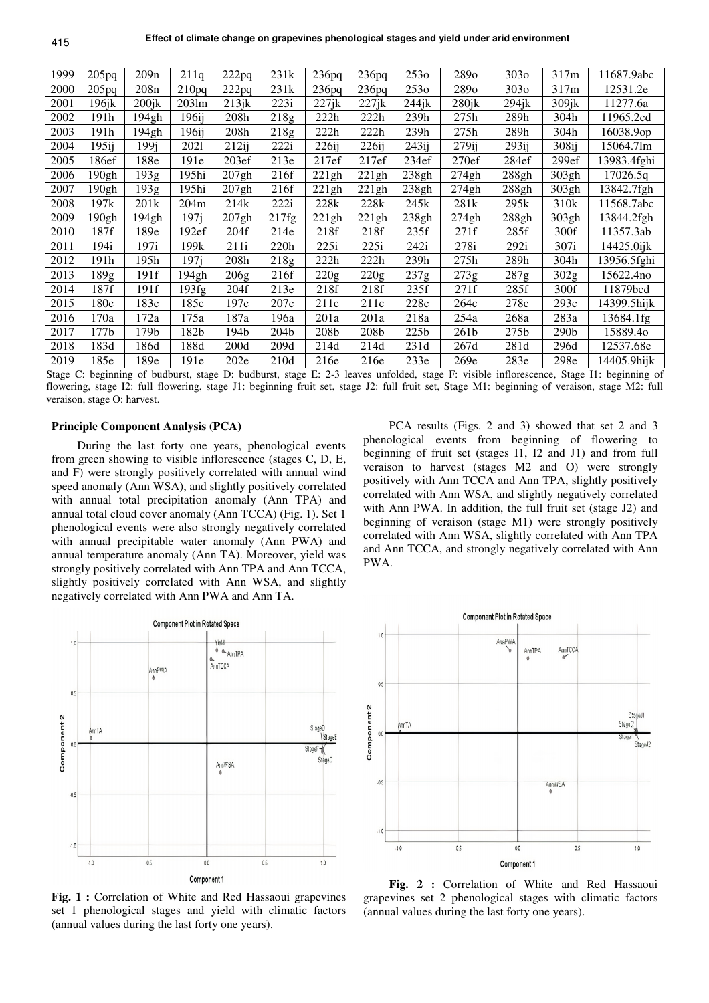| 1999 | 205pq             | 209n     | 211q             | 222pq | 231k  | 236pq | 236pq             | 253 <sub>o</sub> | 2890             | 303 <sub>o</sub> | 317m             | 11687.9abc  |
|------|-------------------|----------|------------------|-------|-------|-------|-------------------|------------------|------------------|------------------|------------------|-------------|
| 2000 | 205 <sub>pq</sub> | 208n     | 210pq            | 222pq | 231k  | 236pq | 236pq             | 253 <sub>o</sub> | 2890             | 303 <sub>o</sub> | 317m             | 12531.2e    |
| 2001 | 196jk             | $200$ jk | 2031m            | 213ik | 223i  | 227jk | 227ik             | 244ik            | $280$ jk         | 294ik            | 309jk            | 11277.6a    |
| 2002 | 191h              | 194gh    | 196ij            | 208h  | 218g  | 222h  | 222h              | 239h             | 275h             | 289h             | 304h             | 11965.2cd   |
| 2003 | 191h              | 194gh    | 196ij            | 208h  | 218g  | 222h  | 222h              | 239h             | 275h             | 289h             | 304h             | 16038.9op   |
| 2004 | $195$ ij          | 199i     | 2021             | 212ii | 222i  | 226ii | 226ii             | 243ii            | $279$ ij         | 293ii            | 308ij            | 15064.71m   |
| 2005 | 186ef             | 188e     | 191e             | 203ef | 213e  | 217ef | 217ef             | 234ef            | 270ef            | 284ef            | 299ef            | 13983.4fghi |
| 2006 | 190gh             | 193g     | 195hi            | 207gh | 216f  | 221gh | 221gh             | 238gh            | 274gh            | 288gh            | 303gh            | 17026.5q    |
| 2007 | 190gh             | 193g     | 195hi            | 207gh | 216f  | 221gh | 221gh             | 238gh            | 274gh            | 288gh            | 303gh            | 13842.7fgh  |
| 2008 | 197k              | 201k     | 204m             | 214k  | 222i  | 228k  | 228k              | 245k             | 281k             | 295k             | 310k             | 11568.7abc  |
| 2009 | 190gh             | 194gh    | 197i             | 207gh | 217fg | 221gh | 221gh             | 238gh            | 274gh            | 288gh            | 303gh            | 13844.2fgh  |
| 2010 | 187f              | 189e     | 192ef            | 204f  | 214e  | 218f  | 218f              | 235f             | 271f             | 285f             | 300f             | 11357.3ab   |
| 2011 | 194i              | 197i     | 199k             | 211i  | 220h  | 225i  | 225i              | 242i             | 278i             | 292i             | 307i             | 14425.0ijk  |
| 2012 | 191h              | 195h     | 197 <sub>i</sub> | 208h  | 218g  | 222h  | 222h              | 239h             | 275h             | 289h             | 304h             | 13956.5fghi |
| 2013 | 189g              | 191f     | 194gh            | 206g  | 216f  | 220g  | $\overline{2}20g$ | 237g             | 273g             | 287g             | 302g             | 15622.4no   |
| 2014 | 187f              | 191f     | 193fg            | 204f  | 213e  | 218f  | 218f              | 235f             | 271f             | 285f             | 300f             | 11879bcd    |
| 2015 | 180c              | 183c     | 185c             | 197c  | 207c  | 211c  | 211c              | 228c             | 264c             | 278c             | 293c             | 14399.5hijk |
| 2016 | 170a              | 172a     | 175a             | 187a  | 196a  | 201a  | 201a              | 218a             | 254a             | 268a             | 283a             | 13684.1fg   |
| 2017 | 177b              | 179b     | 182b             | 194b  | 204b  | 208b  | 208b              | 225 <sub>b</sub> | 261 <sub>b</sub> | 275b             | 290 <sub>b</sub> | 15889.40    |
| 2018 | 183d              | 186d     | 188d             | 200d  | 209d  | 214d  | 214d              | 231d             | 267d             | 281d             | 296d             | 12537.68e   |
| 2019 | 185e              | 189e     | 191e             | 202e  | 210d  | 216e  | 216e              | 233e             | 269e             | 283e             | 298e             | 14405.9hijk |

Stage C: beginning of budburst, stage D: budburst, stage E: 2-3 leaves unfolded, stage F: visible inflorescence, Stage I1: beginning of flowering, stage I2: full flowering, stage J1: beginning fruit set, stage J2: full fruit set, Stage M1: beginning of veraison, stage M2: full veraison, stage O: harvest.

# **Principle Component Analysis (PCA)**

During the last forty one years, phenological events from green showing to visible inflorescence (stages C, D, E, and F) were strongly positively correlated with annual wind speed anomaly (Ann WSA), and slightly positively correlated with annual total precipitation anomaly (Ann TPA) and annual total cloud cover anomaly (Ann TCCA) (Fig. 1). Set 1 phenological events were also strongly negatively correlated with annual precipitable water anomaly (Ann PWA) and annual temperature anomaly (Ann TA). Moreover, yield was strongly positively correlated with Ann TPA and Ann TCCA, slightly positively correlated with Ann WSA, and slightly negatively correlated with Ann PWA and Ann TA.



**Fig. 1 :** Correlation of White and Red Hassaoui grapevines set 1 phenological stages and yield with climatic factors (annual values during the last forty one years).

PCA results (Figs. 2 and 3) showed that set 2 and 3 phenological events from beginning of flowering to beginning of fruit set (stages I1, I2 and J1) and from full veraison to harvest (stages M2 and O) were strongly positively with Ann TCCA and Ann TPA, slightly positively correlated with Ann WSA, and slightly negatively correlated with Ann PWA. In addition, the full fruit set (stage J2) and beginning of veraison (stage M1) were strongly positively correlated with Ann WSA, slightly correlated with Ann TPA and Ann TCCA, and strongly negatively correlated with Ann PWA.



**Fig. 2 :** Correlation of White and Red Hassaoui grapevines set 2 phenological stages with climatic factors (annual values during the last forty one years).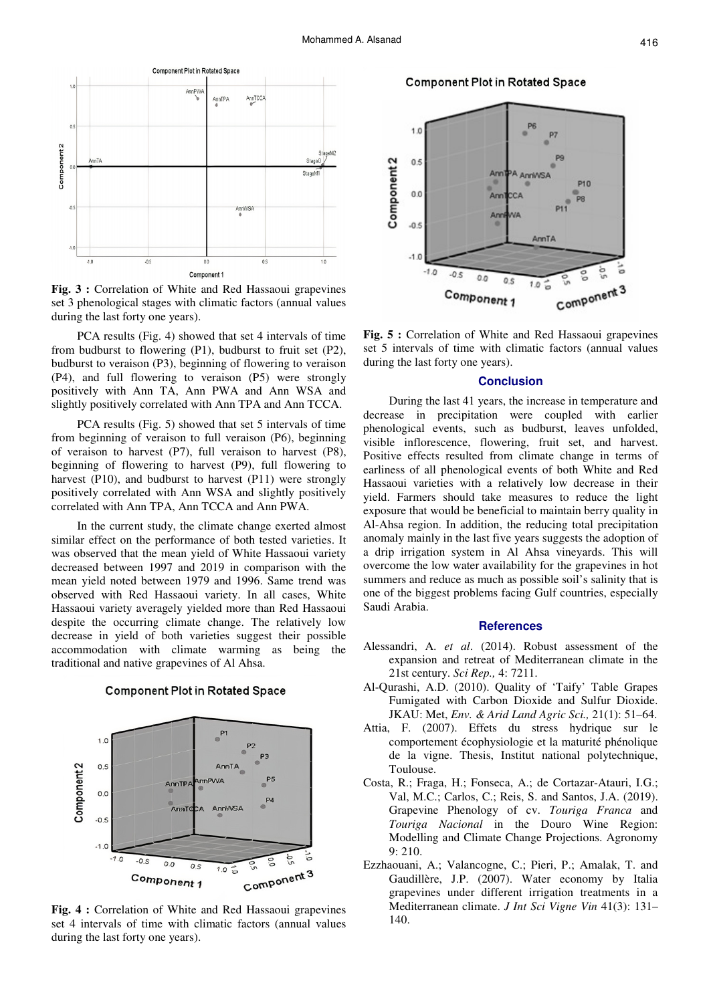

**Fig. 3 :** Correlation of White and Red Hassaoui grapevines set 3 phenological stages with climatic factors (annual values during the last forty one years).

PCA results (Fig. 4) showed that set 4 intervals of time from budburst to flowering (P1), budburst to fruit set (P2), budburst to veraison (P3), beginning of flowering to veraison (P4), and full flowering to veraison (P5) were strongly positively with Ann TA, Ann PWA and Ann WSA and slightly positively correlated with Ann TPA and Ann TCCA.

PCA results (Fig. 5) showed that set 5 intervals of time from beginning of veraison to full veraison (P6), beginning of veraison to harvest (P7), full veraison to harvest (P8), beginning of flowering to harvest (P9), full flowering to harvest (P10), and budburst to harvest (P11) were strongly positively correlated with Ann WSA and slightly positively correlated with Ann TPA, Ann TCCA and Ann PWA.

In the current study, the climate change exerted almost similar effect on the performance of both tested varieties. It was observed that the mean yield of White Hassaoui variety decreased between 1997 and 2019 in comparison with the mean yield noted between 1979 and 1996. Same trend was observed with Red Hassaoui variety. In all cases, White Hassaoui variety averagely yielded more than Red Hassaoui despite the occurring climate change. The relatively low decrease in yield of both varieties suggest their possible accommodation with climate warming as being the traditional and native grapevines of Al Ahsa.

**Component Plot in Rotated Space** 



**Fig. 4 :** Correlation of White and Red Hassaoui grapevines set 4 intervals of time with climatic factors (annual values during the last forty one years).

**Component Plot in Rotated Space** 



**Fig. 5 :** Correlation of White and Red Hassaoui grapevines set 5 intervals of time with climatic factors (annual values during the last forty one years).

# **Conclusion**

During the last 41 years, the increase in temperature and decrease in precipitation were coupled with earlier phenological events, such as budburst, leaves unfolded, visible inflorescence, flowering, fruit set, and harvest. Positive effects resulted from climate change in terms of earliness of all phenological events of both White and Red Hassaoui varieties with a relatively low decrease in their yield. Farmers should take measures to reduce the light exposure that would be beneficial to maintain berry quality in Al-Ahsa region. In addition, the reducing total precipitation anomaly mainly in the last five years suggests the adoption of a drip irrigation system in Al Ahsa vineyards. This will overcome the low water availability for the grapevines in hot summers and reduce as much as possible soil's salinity that is one of the biggest problems facing Gulf countries, especially Saudi Arabia.

### **References**

- Alessandri, A. *et al*. (2014). Robust assessment of the expansion and retreat of Mediterranean climate in the 21st century. *Sci Rep.,* 4: 7211.
- Al-Qurashi, A.D. (2010). Quality of 'Taify' Table Grapes Fumigated with Carbon Dioxide and Sulfur Dioxide. JKAU: Met, *Env. & Arid Land Agric Sci.,* 21(1): 51–64.
- Attia, F. (2007). Effets du stress hydrique sur le comportement écophysiologie et la maturité phénolique de la vigne. Thesis, Institut national polytechnique, Toulouse.
- Costa, R.; Fraga, H.; Fonseca, A.; de Cortazar-Atauri, I.G.; Val, M.C.; Carlos, C.; Reis, S. and Santos, J.A. (2019). Grapevine Phenology of cv. *Touriga Franca* and *Touriga Nacional* in the Douro Wine Region: Modelling and Climate Change Projections. Agronomy 9: 210.
- Ezzhaouani, A.; Valancogne, C.; Pieri, P.; Amalak, T. and Gaudillère, J.P. (2007). Water economy by Italia grapevines under different irrigation treatments in a Mediterranean climate. *J Int Sci Vigne Vin* 41(3): 131– 140.